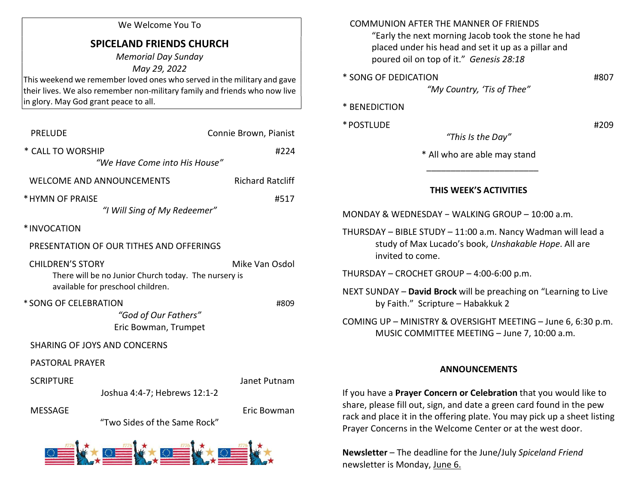## We Welcome You To

## SPICELAND FRIENDS CHURCH

Memorial Day Sunday May 29, 2022 This weekend we remember loved ones who served in the military and gave their lives. We also remember non-military family and friends who now live in glory. May God grant peace to all.

| <b>PRELUDE</b>          | Connie Brown, Pianist                                                                     |  |                         |
|-------------------------|-------------------------------------------------------------------------------------------|--|-------------------------|
| * CALL TO WORSHIP       | "We Have Come into His House"                                                             |  | #224                    |
|                         | <b>WELCOME AND ANNOUNCEMENTS</b>                                                          |  | <b>Richard Ratcliff</b> |
| * HYMN OF PRAISE        | #517                                                                                      |  |                         |
| *INVOCATION             |                                                                                           |  |                         |
|                         | PRESENTATION OF OUR TITHES AND OFFERINGS                                                  |  |                         |
| <b>CHILDREN'S STORY</b> | There will be no Junior Church today. The nursery is<br>available for preschool children. |  | Mike Van Osdol          |
| * SONG OF CELEBRATION   | "God of Our Fathers"<br>Eric Bowman, Trumpet                                              |  | #809                    |
|                         | <b>SHARING OF JOYS AND CONCERNS</b>                                                       |  |                         |
| <b>PASTORAL PRAYER</b>  |                                                                                           |  |                         |
| <b>SCRIPTURE</b>        | Joshua 4:4-7; Hebrews 12:1-2                                                              |  | Janet Putnam            |
| <b>MESSAGE</b>          | "Two Sides of the Same Rock"                                                              |  | Eric Bowman             |
|                         | and the state of the state of the state of                                                |  |                         |



| <b>COMMUNION AFTER THE MANNER OF FRIENDS</b><br>"Early the next morning Jacob took the stone he had<br>placed under his head and set it up as a pillar and<br>poured oil on top of it." Genesis 28:18 |  |
|-------------------------------------------------------------------------------------------------------------------------------------------------------------------------------------------------------|--|
| * SONG OF DEDICATION<br>#807<br>"My Country, 'Tis of Thee"                                                                                                                                            |  |
| <b>BENEDICTION</b>                                                                                                                                                                                    |  |
| * POSTLUDE<br>#209<br>"This Is the Day"                                                                                                                                                               |  |
| * All who are able may stand                                                                                                                                                                          |  |
| THIS WEEK'S ACTIVITIES                                                                                                                                                                                |  |
| MONDAY & WEDNESDAY - WALKING GROUP - 10:00 a.m.                                                                                                                                                       |  |
| THURSDAY - BIBLE STUDY - 11:00 a.m. Nancy Wadman will lead a<br>study of Max Lucado's book, Unshakable Hope. All are<br>invited to come.                                                              |  |
| THURSDAY - CROCHET GROUP - 4:00-6:00 p.m.                                                                                                                                                             |  |
| NEXT SUNDAY - David Brock will be preaching on "Learning to Live<br>by Faith." Scripture - Habakkuk 2                                                                                                 |  |
| COMING UP - MINISTRY & OVERSIGHT MEETING - June 6, 6:30 p.m.<br>MUSIC COMMITTEE MEETING - June 7, 10:00 a.m.                                                                                          |  |
| <b>ANNOUNCEMENTS</b>                                                                                                                                                                                  |  |

If you have a Prayer Concern or Celebration that you would like to share, please fill out, sign, and date a green card found in the pew rack and place it in the offering plate. You may pick up a sheet listing Prayer Concerns in the Welcome Center or at the west door.

Newsletter – The deadline for the June/July Spiceland Friend newsletter is Monday, June 6.